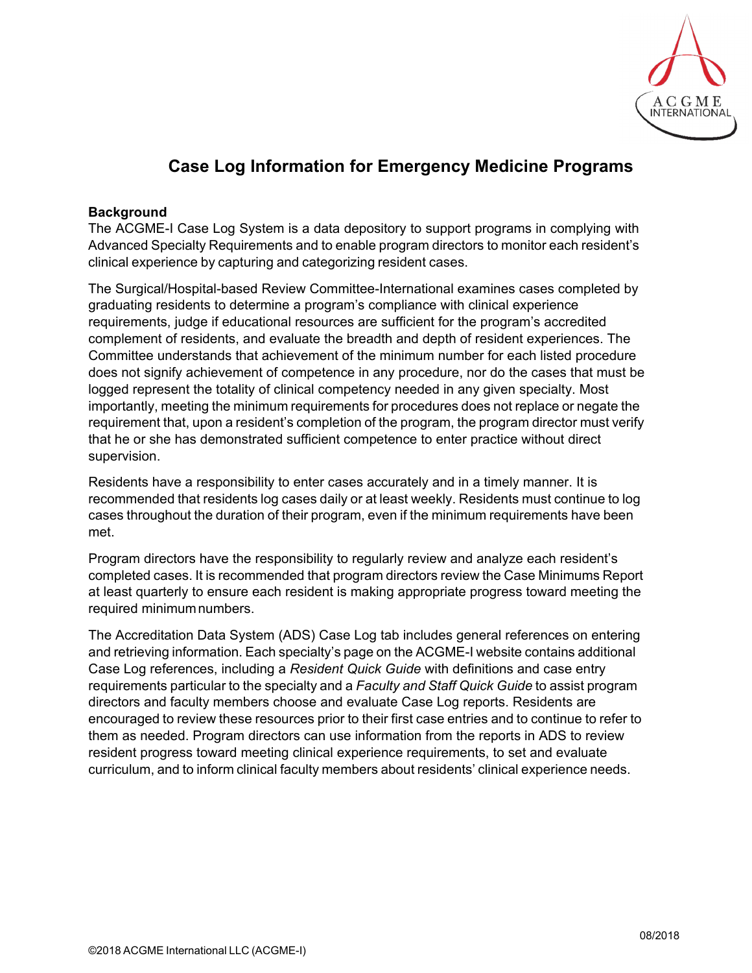

# **Case Log Information for Emergency Medicine Programs**

#### **Background**

The ACGME-I Case Log System is a data depository to support programs in complying with Advanced Specialty Requirements and to enable program directors to monitor each resident's clinical experience by capturing and categorizing resident cases.

The Surgical/Hospital-based Review Committee-International examines cases completed by graduating residents to determine a program's compliance with clinical experience requirements, judge if educational resources are sufficient for the program's accredited complement of residents, and evaluate the breadth and depth of resident experiences. The Committee understands that achievement of the minimum number for each listed procedure does not signify achievement of competence in any procedure, nor do the cases that must be logged represent the totality of clinical competency needed in any given specialty. Most importantly, meeting the minimum requirements for procedures does not replace or negate the requirement that, upon a resident's completion of the program, the program director must verify that he or she has demonstrated sufficient competence to enter practice without direct supervision.

Residents have a responsibility to enter cases accurately and in a timely manner. It is recommended that residents log cases daily or at least weekly. Residents must continue to log cases throughout the duration of their program, even if the minimum requirements have been met.

Program directors have the responsibility to regularly review and analyze each resident's completed cases. It is recommended that program directors review the Case Minimums Report at least quarterly to ensure each resident is making appropriate progress toward meeting the required minimum numbers.

The Accreditation Data System (ADS) Case Log tab includes general references on entering and retrieving information. Each specialty's page on the ACGME-I website contains additional Case Log references, including a *Resident Quick Guide* with definitions and case entry requirements particular to the specialty and a *Faculty and Staff Quick Guide* to assist program directors and faculty members choose and evaluate Case Log reports. Residents are encouraged to review these resources prior to their first case entries and to continue to refer to them as needed. Program directors can use information from the reports in ADS to review resident progress toward meeting clinical experience requirements, to set and evaluate curriculum, and to inform clinical faculty members about residents' clinical experience needs.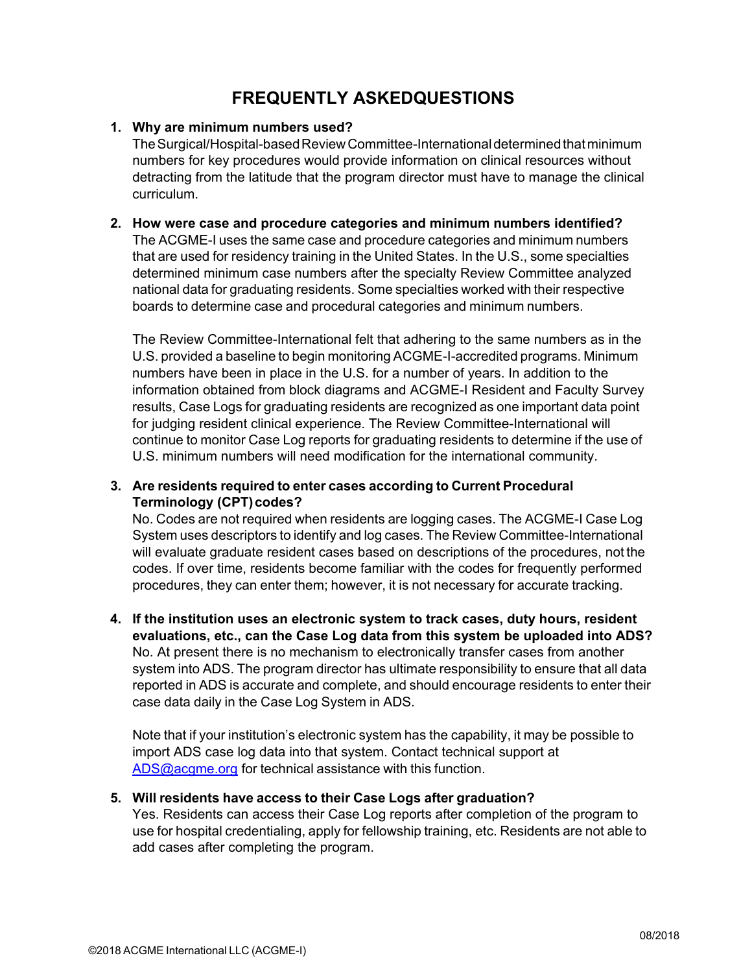## **FREQUENTLY ASKEDQUESTIONS**

#### **1. Why are minimum numbers used?**

The Surgical/Hospital-based Review Committee-International determined that minimum numbers for key procedures would provide information on clinical resources without detracting from the latitude that the program director must have to manage the clinical curriculum.

### **2. How were case and procedure categories and minimum numbers identified?**

The ACGME-I uses the same case and procedure categories and minimum numbers that are used for residency training in the United States. In the U.S., some specialties determined minimum case numbers after the specialty Review Committee analyzed national data for graduating residents. Some specialties worked with their respective boards to determine case and procedural categories and minimum numbers.

The Review Committee-International felt that adhering to the same numbers as in the U.S. provided a baseline to begin monitoring ACGME-I-accredited programs. Minimum numbers have been in place in the U.S. for a number of years. In addition to the information obtained from block diagrams and ACGME-I Resident and Faculty Survey results, Case Logs for graduating residents are recognized as one important data point for judging resident clinical experience. The Review Committee-International will continue to monitor Case Log reports for graduating residents to determine if the use of U.S. minimum numbers will need modification for the international community.

#### **3. Are residents required to enter cases according to Current Procedural Terminology (CPT) codes?**

No. Codes are not required when residents are logging cases. The ACGME-I Case Log System uses descriptors to identify and log cases. The Review Committee-International will evaluate graduate resident cases based on descriptions of the procedures, not the codes. If over time, residents become familiar with the codes for frequently performed procedures, they can enter them; however, it is not necessary for accurate tracking.

**4. If the institution uses an electronic system to track cases, duty hours, resident evaluations, etc., can the Case Log data from this system be uploaded into ADS?**  No. At present there is no mechanism to electronically transfer cases from another system into ADS. The program director has ultimate responsibility to ensure that all data reported in ADS is accurate and complete, and should encourage residents to enter their case data daily in the Case Log System in ADS.

Note that if your institution's electronic system has the capability, it may be possible to import ADS case log data into that system. Contact technical support at ADS@acgme.org for technical assistance with this function.

#### **5. Will residents have access to their Case Logs after graduation?**

Yes. Residents can access their Case Log reports after completion of the program to use for hospital credentialing, apply for fellowship training, etc. Residents are not able to add cases after completing the program.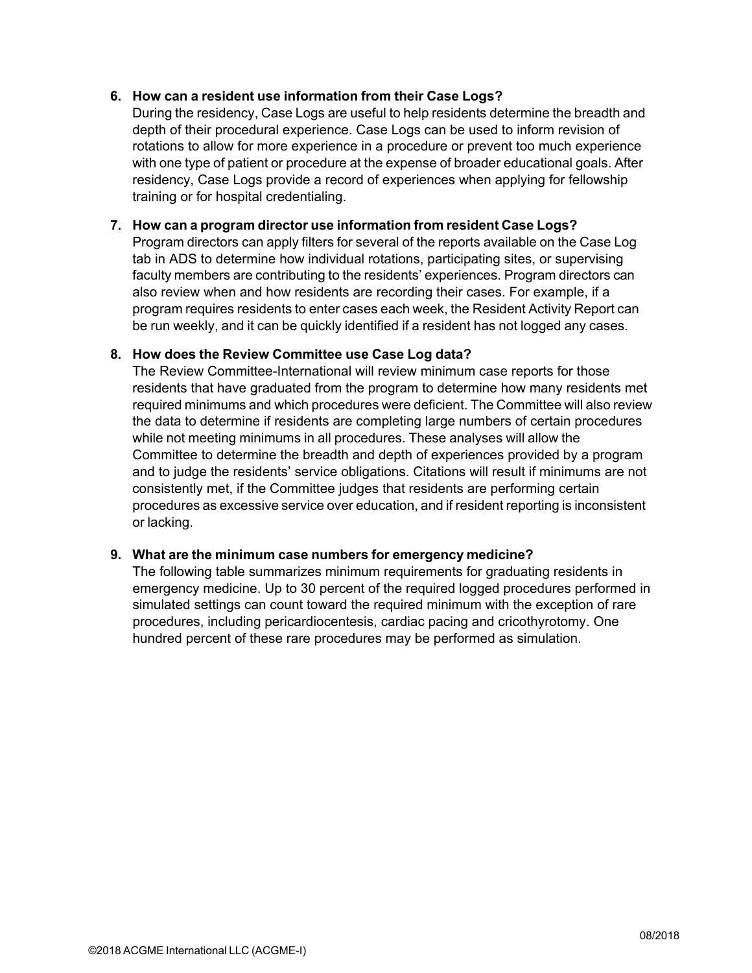#### **6. How can a resident use information from their Case Logs?**

During the residency, Case Logs are useful to help residents determine the breadth and depth of their procedural experience. Case Logs can be used to inform revision of rotations to allow for more experience in a procedure or prevent too much experience with one type of patient or procedure at the expense of broader educational goals. After residency, Case Logs provide a record of experiences when applying for fellowship training or for hospital credentialing.

#### **7. How can a program director use information from resident Case Logs?**

Program directors can apply filters for several of the reports available on the Case Log tab in ADS to determine how individual rotations, participating sites, or supervising faculty members are contributing to the residents' experiences. Program directors can also review when and how residents are recording their cases. For example, if a program requires residents to enter cases each week, the Resident Activity Report can be run weekly, and it can be quickly identified if a resident has not logged any cases.

#### **8. How does the Review Committee use Case Log data?**

The Review Committee-International will review minimum case reports for those residents that have graduated from the program to determine how many residents met required minimums and which procedures were deficient. The Committee will also review the data to determine if residents are completing large numbers of certain procedures while not meeting minimums in all procedures. These analyses will allow the Committee to determine the breadth and depth of experiences provided by a program and to judge the residents' service obligations. Citations will result if minimums are not consistently met, if the Committee judges that residents are performing certain procedures as excessive service over education, and if resident reporting is inconsistent or lacking.

#### **9. What are the minimum case numbers for emergency medicine?**

The following table summarizes minimum requirements for graduating residents in emergency medicine. Up to 30 percent of the required logged procedures performed in simulated settings can count toward the required minimum with the exception of rare procedures, including pericardiocentesis, cardiac pacing and cricothyrotomy. One hundred percent of these rare procedures may be performed as simulation.